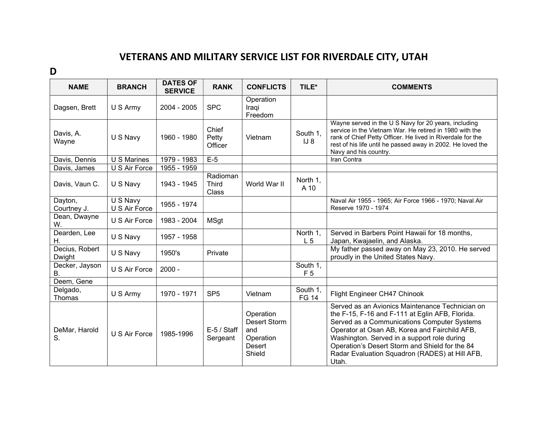## VETERANS AND MILITARY SERVICE LIST FOR RIVERDALE CITY, UTAH

D

| <b>NAME</b>              | <b>BRANCH</b>             | <b>DATES OF</b><br><b>SERVICE</b> | <b>RANK</b>                       | <b>CONFLICTS</b>                                                                | TILE*                      | <b>COMMENTS</b>                                                                                                                                                                                                                                                                                                                                                |
|--------------------------|---------------------------|-----------------------------------|-----------------------------------|---------------------------------------------------------------------------------|----------------------------|----------------------------------------------------------------------------------------------------------------------------------------------------------------------------------------------------------------------------------------------------------------------------------------------------------------------------------------------------------------|
| Dagsen, Brett            | U S Army                  | $2004 - 2005$                     | <b>SPC</b>                        | Operation<br>Iraqi<br>Freedom                                                   |                            |                                                                                                                                                                                                                                                                                                                                                                |
| Davis, A.<br>Wayne       | U S Navy                  | 1960 - 1980                       | Chief<br>Petty<br>Officer         | Vietnam                                                                         | South 1,<br>$IJ_8$         | Wayne served in the U S Navy for 20 years, including<br>service in the Vietnam War. He retired in 1980 with the<br>rank of Chief Petty Officer. He lived in Riverdale for the<br>rest of his life until he passed away in 2002. He loved the<br>Navy and his country.                                                                                          |
| Davis, Dennis            | U S Marines               | 1979 - 1983                       | $E-5$                             |                                                                                 |                            | Iran Contra                                                                                                                                                                                                                                                                                                                                                    |
| Davis, James             | U S Air Force             | $1955 - 1959$                     |                                   |                                                                                 |                            |                                                                                                                                                                                                                                                                                                                                                                |
| Davis, Vaun C.           | U S Navy                  | 1943 - 1945                       | Radioman<br><b>Third</b><br>Class | World War II                                                                    | North 1,<br>A 10           |                                                                                                                                                                                                                                                                                                                                                                |
| Dayton,<br>Courtney J.   | U S Navy<br>U S Air Force | 1955 - 1974                       |                                   |                                                                                 |                            | Naval Air 1955 - 1965; Air Force 1966 - 1970; Naval Air<br>Reserve 1970 - 1974                                                                                                                                                                                                                                                                                 |
| Dean, Dwayne<br>W.       | U S Air Force             | 1983 - 2004                       | <b>MSgt</b>                       |                                                                                 |                            |                                                                                                                                                                                                                                                                                                                                                                |
| Dearden, Lee<br>Η.       | U S Navy                  | 1957 - 1958                       |                                   |                                                                                 | North 1,<br>L <sub>5</sub> | Served in Barbers Point Hawaii for 18 months,<br>Japan, Kwajaelin, and Alaska.                                                                                                                                                                                                                                                                                 |
| Decius, Robert<br>Dwight | U S Navy                  | 1950's                            | Private                           |                                                                                 |                            | My father passed away on May 23, 2010. He served<br>proudly in the United States Navy.                                                                                                                                                                                                                                                                         |
| Decker, Jayson<br>В.     | U S Air Force             | $2000 -$                          |                                   |                                                                                 | South 1,<br>F <sub>5</sub> |                                                                                                                                                                                                                                                                                                                                                                |
| Deem, Gene               |                           |                                   |                                   |                                                                                 |                            |                                                                                                                                                                                                                                                                                                                                                                |
| Delgado,<br>Thomas       | U S Army                  | 1970 - 1971                       | SP <sub>5</sub>                   | Vietnam                                                                         | South 1,<br><b>FG 14</b>   | Flight Engineer CH47 Chinook                                                                                                                                                                                                                                                                                                                                   |
| DeMar, Harold<br>S.      | U S Air Force             | 1985-1996                         | $E-5/$ Staff<br>Sergeant          | Operation<br><b>Desert Storm</b><br>and<br>Operation<br><b>Desert</b><br>Shield |                            | Served as an Avionics Maintenance Technician on<br>the F-15, F-16 and F-111 at Eglin AFB, Florida.<br>Served as a Communications Computer Systems<br>Operator at Osan AB, Korea and Fairchild AFB,<br>Washington. Served in a support role during<br>Operation's Desert Storm and Shield for the 84<br>Radar Evaluation Squadron (RADES) at Hill AFB,<br>Utah. |